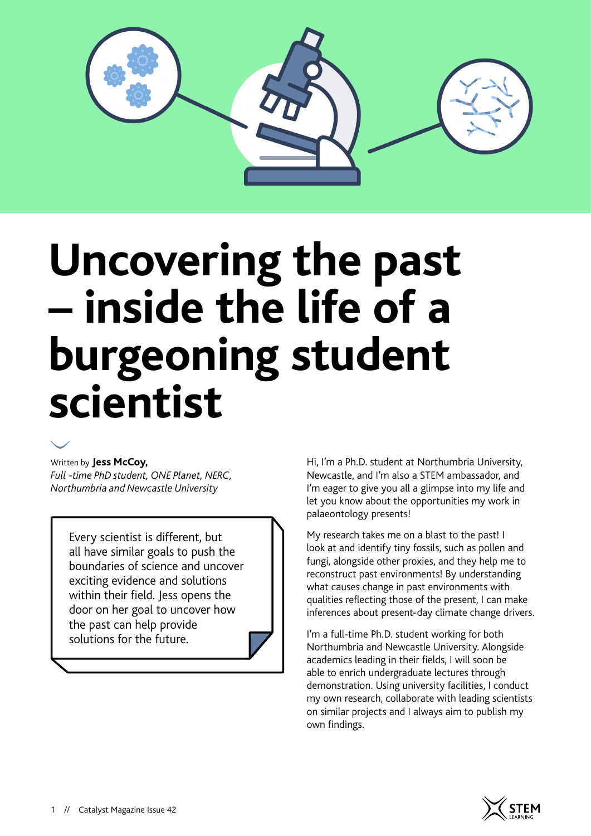

# **Uncovering the past – inside the life of a burgeoning student scientist**



#### Written by **Jess McCoy,**

*Full -time PhD student, ONE Planet, NERC, Northumbria and Newcastle University*

Every scientist is different, but all have similar goals to push the boundaries of science and uncover exciting evidence and solutions within their field. Jess opens the door on her goal to uncover how the past can help provide solutions for the future.

Hi, I'm a Ph.D. student at Northumbria University, Newcastle, and I'm also a STEM ambassador, and I'm eager to give you all a glimpse into my life and let you know about the opportunities my work in palaeontology presents!

My research takes me on a blast to the past! I look at and identify tiny fossils, such as pollen and fungi, alongside other proxies, and they help me to reconstruct past environments! By understanding what causes change in past environments with qualities reflecting those of the present, I can make inferences about present-day climate change drivers.

I'm a full-time Ph.D. student working for both Northumbria and Newcastle University. Alongside academics leading in their fields, I will soon be able to enrich undergraduate lectures through demonstration. Using university facilities, I conduct my own research, collaborate with leading scientists on similar projects and I always aim to publish my own findings.

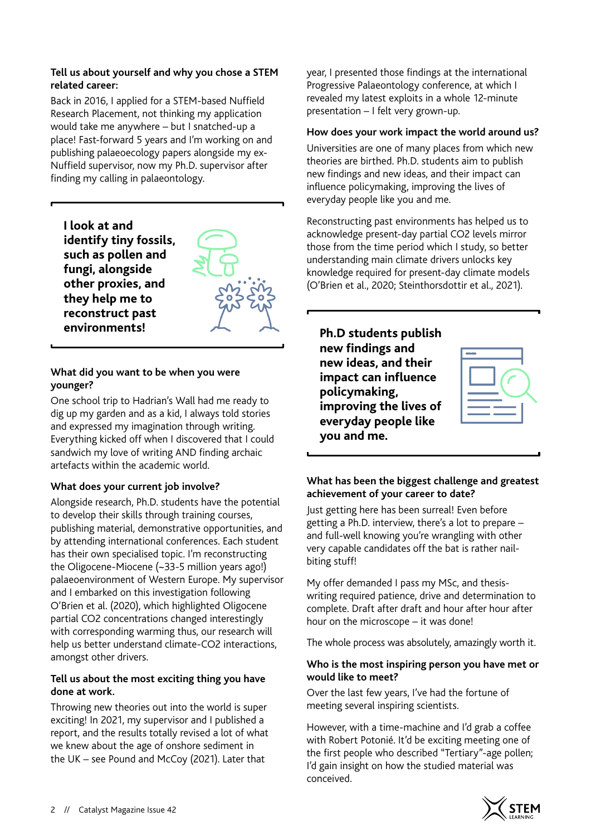## **Tell us about yourself and why you chose a STEM related career:**

Back in 2016, I applied for a STEM-based Nuffield Research Placement, not thinking my application would take me anywhere – but I snatched-up a place! Fast-forward 5 years and I'm working on and publishing palaeoecology papers alongside my ex-Nuffield supervisor, now my Ph.D. supervisor after finding my calling in palaeontology.

**I look at and identify tiny fossils, such as pollen and fungi, alongside other proxies, and they help me to reconstruct past environments! Ph.D students publish** 

#### **What did you want to be when you were younger?**

One school trip to Hadrian's Wall had me ready to dig up my garden and as a kid, I always told stories and expressed my imagination through writing. Everything kicked off when I discovered that I could sandwich my love of writing AND finding archaic artefacts within the academic world.

# **What does your current job involve?**

Alongside research, Ph.D. students have the potential to develop their skills through training courses, publishing material, demonstrative opportunities, and by attending international conferences. Each student has their own specialised topic. I'm reconstructing the Oligocene-Miocene (~33-5 million years ago!) palaeoenvironment of Western Europe. My supervisor and I embarked on this investigation following O'Brien et al. (2020), which highlighted Oligocene partial CO2 concentrations changed interestingly with corresponding warming thus, our research will help us better understand climate-CO2 interactions, amongst other drivers.

# **Tell us about the most exciting thing you have done at work.**

Throwing new theories out into the world is super exciting! In 2021, my supervisor and I published a report, and the results totally revised a lot of what we knew about the age of onshore sediment in the UK – see Pound and McCoy (2021). Later that

year, I presented those findings at the international Progressive Palaeontology conference, at which I revealed my latest exploits in a whole 12-minute presentation – I felt very grown-up.

## **How does your work impact the world around us?**

Universities are one of many places from which new theories are birthed. Ph.D. students aim to publish new findings and new ideas, and their impact can influence policymaking, improving the lives of everyday people like you and me.

Reconstructing past environments has helped us to acknowledge present-day partial CO2 levels mirror those from the time period which I study, so better understanding main climate drivers unlocks key knowledge required for present-day climate models (O'Brien et al., 2020; Steinthorsdottir et al., 2021).

**new findings and new ideas, and their impact can influence policymaking, improving the lives of everyday people like you and me.**



# **What has been the biggest challenge and greatest achievement of your career to date?**

Just getting here has been surreal! Even before getting a Ph.D. interview, there's a lot to prepare – and full-well knowing you're wrangling with other very capable candidates off the bat is rather nailbiting stuff!

My offer demanded I pass my MSc, and thesiswriting required patience, drive and determination to complete. Draft after draft and hour after hour after hour on the microscope – it was done!

The whole process was absolutely, amazingly worth it.

#### **Who is the most inspiring person you have met or would like to meet?**

Over the last few years, I've had the fortune of meeting several inspiring scientists.

However, with a time-machine and I'd grab a coffee with Robert Potonié. It'd be exciting meeting one of the first people who described "Tertiary"-age pollen; I'd gain insight on how the studied material was conceived.

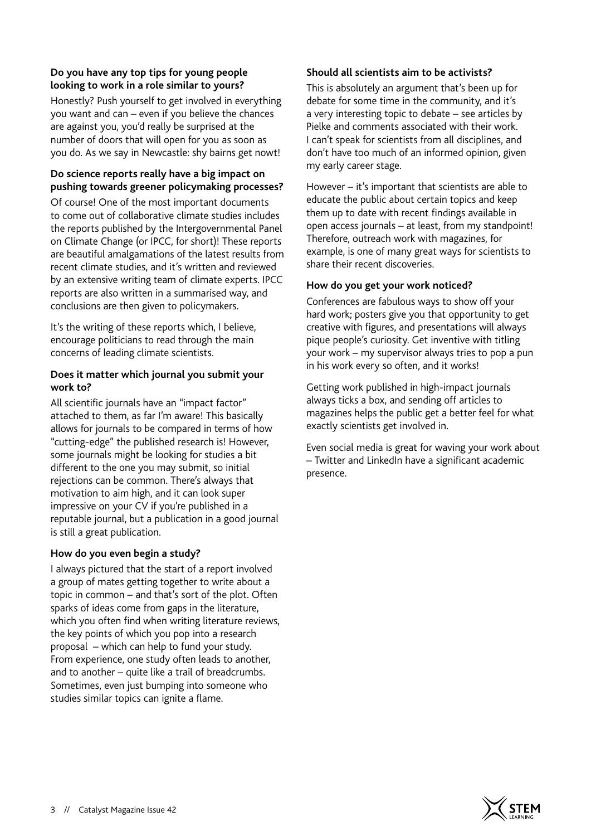# **Do you have any top tips for young people looking to work in a role similar to yours?**

Honestly? Push yourself to get involved in everything you want and can – even if you believe the chances are against you, you'd really be surprised at the number of doors that will open for you as soon as you do. As we say in Newcastle: shy bairns get nowt!

# **Do science reports really have a big impact on pushing towards greener policymaking processes?**

Of course! One of the most important documents to come out of collaborative climate studies includes the reports published by the Intergovernmental Panel on Climate Change (or IPCC, for short)! These reports are beautiful amalgamations of the latest results from recent climate studies, and it's written and reviewed by an extensive writing team of climate experts. IPCC reports are also written in a summarised way, and conclusions are then given to policymakers.

It's the writing of these reports which, I believe, encourage politicians to read through the main concerns of leading climate scientists.

#### **Does it matter which journal you submit your work to?**

All scientific journals have an "impact factor" attached to them, as far I'm aware! This basically allows for journals to be compared in terms of how "cutting-edge" the published research is! However, some journals might be looking for studies a bit different to the one you may submit, so initial rejections can be common. There's always that motivation to aim high, and it can look super impressive on your CV if you're published in a reputable journal, but a publication in a good journal is still a great publication.

## **How do you even begin a study?**

I always pictured that the start of a report involved a group of mates getting together to write about a topic in common – and that's sort of the plot. Often sparks of ideas come from gaps in the literature, which you often find when writing literature reviews, the key points of which you pop into a research proposal – which can help to fund your study. From experience, one study often leads to another, and to another – quite like a trail of breadcrumbs. Sometimes, even just bumping into someone who studies similar topics can ignite a flame.

## **Should all scientists aim to be activists?**

This is absolutely an argument that's been up for debate for some time in the community, and it's a very interesting topic to debate – see articles by Pielke and comments associated with their work. I can't speak for scientists from all disciplines, and don't have too much of an informed opinion, given my early career stage.

However – it's important that scientists are able to educate the public about certain topics and keep them up to date with recent findings available in open access journals – at least, from my standpoint! Therefore, outreach work with magazines, for example, is one of many great ways for scientists to share their recent discoveries.

# **How do you get your work noticed?**

Conferences are fabulous ways to show off your hard work; posters give you that opportunity to get creative with figures, and presentations will always pique people's curiosity. Get inventive with titling your work – my supervisor always tries to pop a pun in his work every so often, and it works!

Getting work published in high-impact journals always ticks a box, and sending off articles to magazines helps the public get a better feel for what exactly scientists get involved in.

Even social media is great for waving your work about – Twitter and LinkedIn have a significant academic presence.